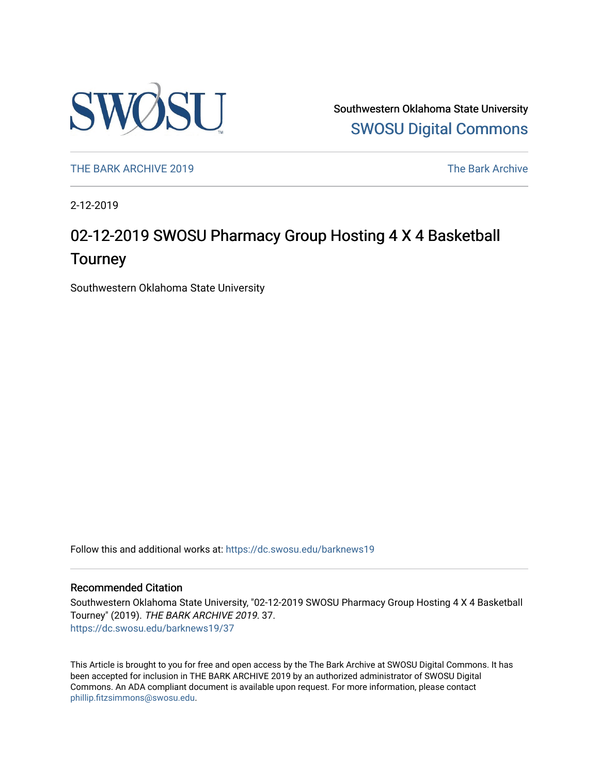

Southwestern Oklahoma State University [SWOSU Digital Commons](https://dc.swosu.edu/) 

[THE BARK ARCHIVE 2019](https://dc.swosu.edu/barknews19) The Bark Archive

2-12-2019

## 02-12-2019 SWOSU Pharmacy Group Hosting 4 X 4 Basketball **Tourney**

Southwestern Oklahoma State University

Follow this and additional works at: [https://dc.swosu.edu/barknews19](https://dc.swosu.edu/barknews19?utm_source=dc.swosu.edu%2Fbarknews19%2F37&utm_medium=PDF&utm_campaign=PDFCoverPages)

#### Recommended Citation

Southwestern Oklahoma State University, "02-12-2019 SWOSU Pharmacy Group Hosting 4 X 4 Basketball Tourney" (2019). THE BARK ARCHIVE 2019. 37. [https://dc.swosu.edu/barknews19/37](https://dc.swosu.edu/barknews19/37?utm_source=dc.swosu.edu%2Fbarknews19%2F37&utm_medium=PDF&utm_campaign=PDFCoverPages) 

This Article is brought to you for free and open access by the The Bark Archive at SWOSU Digital Commons. It has been accepted for inclusion in THE BARK ARCHIVE 2019 by an authorized administrator of SWOSU Digital Commons. An ADA compliant document is available upon request. For more information, please contact [phillip.fitzsimmons@swosu.edu](mailto:phillip.fitzsimmons@swosu.edu).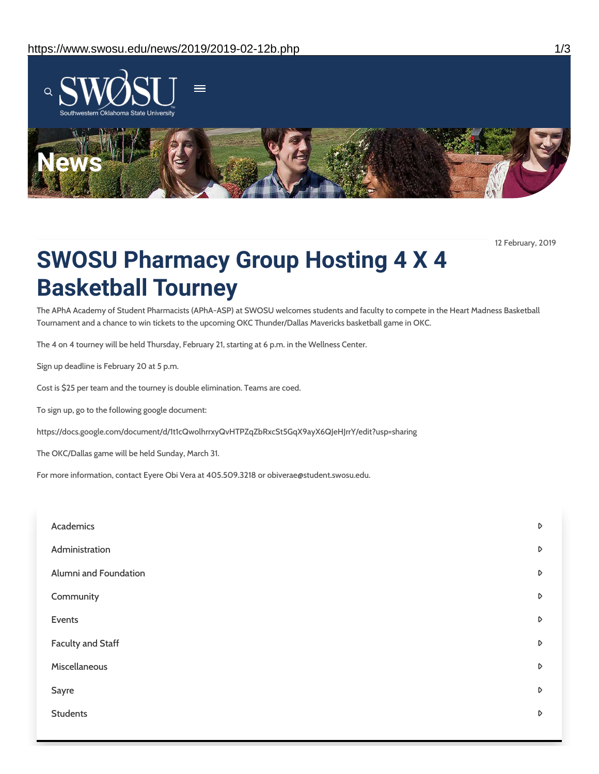

12 February, 2019

# **SWOSU Pharmacy Group Hosting 4 X 4 Basketball Tourney**

The APhA Academy of Student Pharmacists (APhA-ASP) at SWOSU welcomes students and faculty to compete in the Heart Madness Basketball Tournament and a chance to win tickets to the upcoming OKC Thunder/Dallas Mavericks basketball game in OKC.

The 4 on 4 tourney will be held Thursday, February 21, starting at 6 p.m. in the Wellness Center.

Sign up deadline is February 20 at 5 p.m.

Cost is \$25 per team and the tourney is double elimination. Teams are coed.

To sign up, go to the following google document:

https://docs.google.com/document/d/1t1cQwolhrrxyQvHTPZqZbRxcSt5GqX9ayX6QJeHJrrY/edit?usp=sharing

The OKC/Dallas game will be held Sunday, March 31.

For more information, contact Eyere Obi Vera at 405.509.3218 or obiverae@student.swosu.edu.

| Academics                | $\triangleright$ |
|--------------------------|------------------|
| Administration           | D                |
| Alumni and Foundation    | D                |
| Community                | $\triangleright$ |
| Events                   | $\triangleright$ |
| <b>Faculty and Staff</b> | D                |
| Miscellaneous            | D                |
| Sayre                    | D                |
| <b>Students</b>          | D                |
|                          |                  |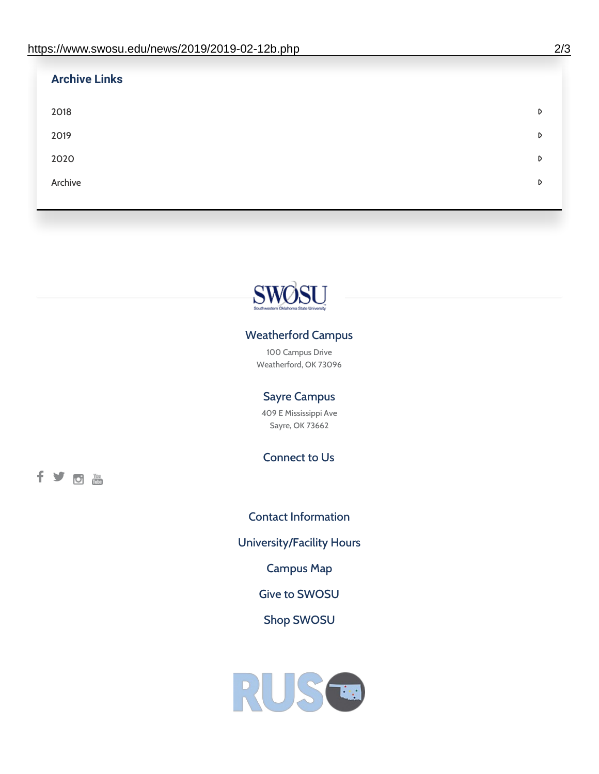| <b>Archive Links</b> |   |
|----------------------|---|
| 2018                 | D |
| 2019                 | D |
| 2020                 | D |
| Archive              | D |



### Weatherford Campus

100 Campus Drive Weatherford, OK 73096

### Sayre Campus

409 E Mississippi Ave Sayre, OK 73662

Connect to Us

fyom

Contact [Information](https://www.swosu.edu/about/contact.php) [University/Facility](https://www.swosu.edu/about/operating-hours.php) Hours [Campus](https://map.concept3d.com/?id=768#!ct/10964,10214,10213,10212,10205,10204,10203,10202,10136,10129,10128,0,31226,10130,10201,10641,0) Map Give to [SWOSU](https://standingfirmly.com/donate) Shop [SWOSU](https://shopswosu.merchorders.com/)